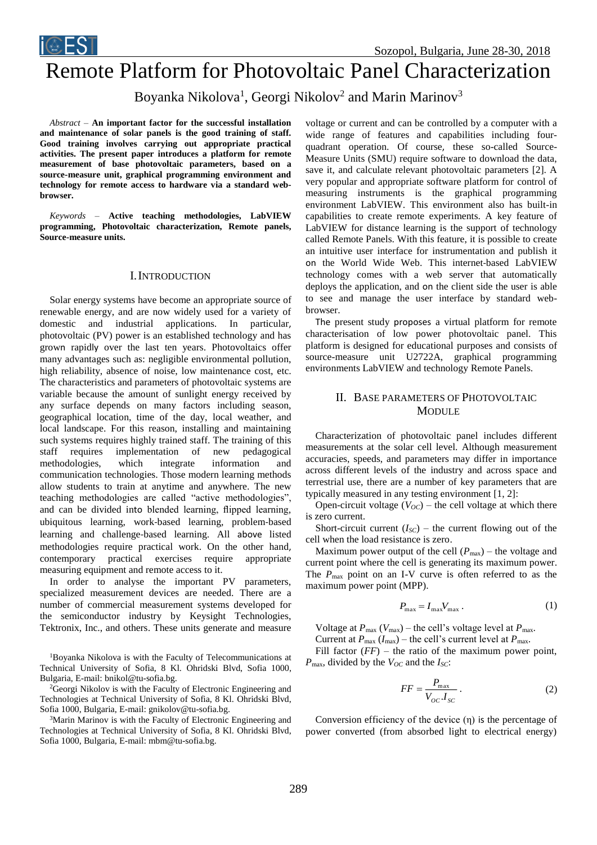

# Remote Platform for Photovoltaic Panel Characterization

Boyanka Nikolova<sup>1</sup>, Georgi Nikolov<sup>2</sup> and Marin Marinov<sup>3</sup>

*Abstract –* **An important factor for the successful installation and maintenance of solar panels is the good training of staff. Good training involves carrying out appropriate practical activities. The present paper introduces a platform for remote measurement of base photovoltaic parameters, based on a source-measure unit, graphical programming environment and technology for remote access to hardware via a standard webbrowser.** 

*Keywords –* **Active teaching methodologies, LabVIEW programming, Photovoltaic characterization, Remote panels, Source-measure units.** 

# I.INTRODUCTION

Solar energy systems have become an appropriate source of renewable energy, and are now widely used for a variety of domestic and industrial applications. In particular, photovoltaic (PV) power is an established technology and has grown rapidly over the last ten years. Photovoltaics offer many advantages such as: negligible environmental pollution, high reliability, absence of noise, low maintenance cost, etc. The characteristics and parameters of photovoltaic systems are variable because the amount of sunlight energy received by any surface depends on many factors including season, geographical location, time of the day, local weather, and local landscape. For this reason, installing and maintaining such systems requires highly trained staff. The training of this staff requires implementation of new pedagogical methodologies, which integrate information and communication technologies. Those modern learning methods allow students to train at anytime and anywhere. The new teaching methodologies are called "active methodologies", and can be divided into blended learning, flipped learning, ubiquitous learning, work-based learning, problem-based learning and challenge-based learning. All above listed methodologies require practical work. On the other hand, contemporary practical exercises require appropriate measuring equipment and remote access to it.

In order to analyse the important PV parameters, specialized measurement devices are needed. There are a number of commercial measurement systems developed for the semiconductor industry by Keysight Technologies, Tektronix, Inc., and others. These units generate and measure

<sup>1</sup>Boyanka Nikolova is with the Faculty of Telecommunications at Technical University of Sofia, 8 Kl. Ohridski Blvd, Sofia 1000, Bulgaria, E-mail: bnikol@tu-sofia.bg.

<sup>2</sup>Georgi Nikolov is with the Faculty of Electronic Engineering and Technologies at Technical University of Sofia, 8 Kl. Ohridski Blvd, Sofia 1000, Bulgaria, E-mail: gnikolov@tu-sofia.bg.

<sup>3</sup>Marin Marinov is with the Faculty of Electronic Engineering and Technologies at Technical University of Sofia, 8 Kl. Ohridski Blvd, Sofia 1000, Bulgaria, E-mail: mbm@tu-sofia.bg.

voltage or current and can be controlled by a computer with a wide range of features and capabilities including fourquadrant operation. Of course, these so-called Source-Measure Units (SMU) require software to download the data, save it, and calculate relevant photovoltaic parameters [2]. A very popular and appropriate software platform for control of measuring instruments is the graphical programming environment LabVIEW. This environment also has built-in capabilities to create remote experiments. A key feature of LabVIEW for distance learning is the support of technology called Remote Panels. With this feature, it is possible to create an intuitive user interface for instrumentation and publish it on the World Wide Web. This internet-based LabVIEW technology comes with a web server that automatically deploys the application, and on the client side the user is able to see and manage the user interface by standard webbrowser.

The present study proposes a virtual platform for remote characterisation of low power photovoltaic panel. This platform is designed for educational purposes and consists of source-measure unit U2722A, graphical programming environments LabVIEW and technology Remote Panels.

# II. BASE PARAMETERS OF PHOTOVOLTAIC **MODULE**

Characterization of photovoltaic panel includes different measurements at the solar cell level. Although measurement accuracies, speeds, and parameters may differ in importance across different levels of the industry and across space and terrestrial use, there are a number of key parameters that are typically measured in any testing environment [1, 2]:

Open-circuit voltage  $(V_{OC})$  – the cell voltage at which there is zero current.

Short-circuit current  $(I_{SC})$  – the current flowing out of the cell when the load resistance is zero.

Maximum power output of the cell  $(P_{\text{max}})$  – the voltage and current point where the cell is generating its maximum power. The *P*<sub>max</sub> point on an I-V curve is often referred to as the maximum power point (MPP).

$$
P_{\text{max}} = I_{\text{max}} V_{\text{max}} \,. \tag{1}
$$

Voltage at *P*max (*V*max) – the cell's voltage level at *P*max. Current at  $P_{\text{max}}$  ( $I_{\text{max}}$ ) – the cell's current level at  $P_{\text{max}}$ .

Fill factor  $(FF)$  – the ratio of the maximum power point, *P*max, divided by the *VOC* and the *ISC*:

$$
FF = \frac{P_{\text{max}}}{V_{OC}.I_{SC}}.\tag{2}
$$

Conversion efficiency of the device  $(\eta)$  is the percentage of power converted (from absorbed light to electrical energy)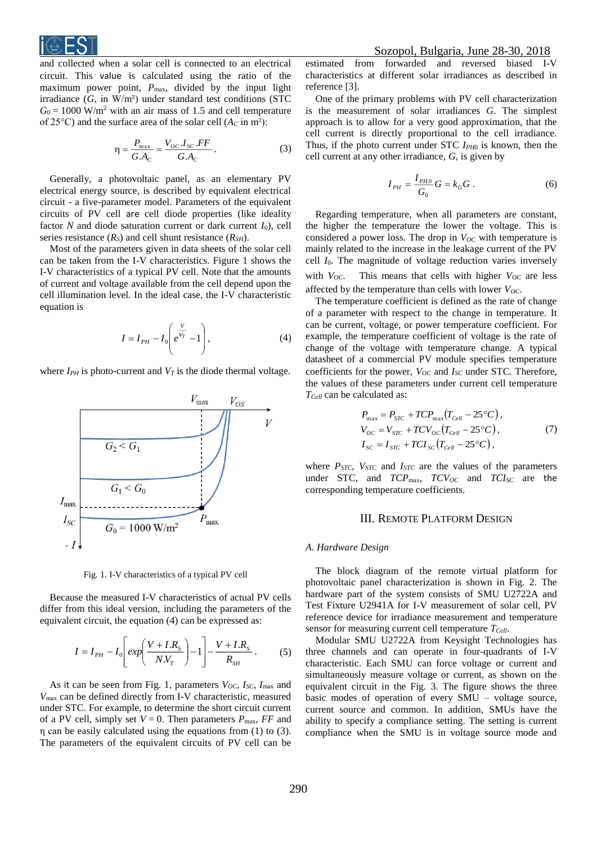

and collected when a solar cell is connected to an electrical circuit. This value is calculated using the ratio of the maximum power point,  $P_{\text{max}}$ , divided by the input light irradiance  $(G, in W/m<sup>2</sup>)$  under standard test conditions (STC  $G_0 = 1000$  W/m<sup>2</sup> with an air mass of 1.5 and cell temperature of 25 $^{\circ}$ C) and the surface area of the solar cell ( $A_C$  in m<sup>2</sup>):

$$
\eta = \frac{P_{\text{max}}}{G.A_c} = \frac{V_{OC}.I_{SC}.FF}{G.A_c} \,. \tag{3}
$$

Generally, a photovoltaic panel, as an elementary PV electrical energy source, is described by equivalent electrical circuit - a five-parameter model. Parameters of the equivalent circuits of PV cell are cell diode properties (like ideality factor *N* and diode saturation current or dark current  $I_0$ , cell series resistance  $(R<sub>S</sub>)$  and cell shunt resistance  $(R<sub>SH</sub>)$ .

Most of the parameters given in data sheets of the solar cell can be taken from the I-V characteristics. Figure 1 shows the I-V characteristics of a typical PV cell. Note that the amounts of current and voltage available from the cell depend upon the cell illumination level. In the ideal case, the I-V characteristic equation is

$$
I = I_{PH} - I_0 \left( e^{\frac{V}{V_T}} - 1 \right), \tag{4}
$$

where  $I_{PH}$  is photo-current and  $V_T$  is the diode thermal voltage.



Fig. 1. I-V characteristics of a typical PV cell

Because the measured I-V characteristics of actual PV cells differ from this ideal version, including the parameters of the equivalent circuit, the equation (4) can be expressed as:

$$
I = I_{PH} - I_0 \left[ exp\left(\frac{V + I.R_s}{N.V_T}\right) - 1\right] - \frac{V + I.R_s}{R_{SH}}.
$$
 (5)

As it can be seen from Fig. 1, parameters *VOC*, *ISC*, *I*max and *V*max can be defined directly from I-V characteristic, measured under STC. For example, to determine the short circuit current of a PV cell, simply set  $V = 0$ . Then parameters  $P_{\text{max}}$ , FF and η can be easily calculated using the equations from (1) to (3). The parameters of the equivalent circuits of PV cell can be estimated from forwarded and reversed biased I-V characteristics at different solar irradiances as described in reference [3].

One of the primary problems with PV cell characterization is the measurement of solar irradiances *G*. The simplest approach is to allow for a very good approximation, that the cell current is directly proportional to the cell irradiance. Thus, if the photo current under STC *IPH*<sup>0</sup> is known, then the cell current at any other irradiance, *G*, is given by

$$
I_{PH} = \frac{I_{PH0}}{G_0} G = k_G G . \tag{6}
$$

Regarding temperature, when all parameters are constant, the higher the temperature the lower the voltage. This is considered a power loss. The drop in  $V_{OC}$  with temperature is mainly related to the increase in the leakage current of the PV cell *I*0. The magnitude of voltage reduction varies inversely with *VOC*. This means that cells with higher *VOC* are less affected by the temperature than cells with lower  $V_{OC}$ .

The temperature coefficient is defined as the rate of change of a parameter with respect to the change in temperature. It can be current, voltage, or power temperature coefficient. For example, the temperature coefficient of voltage is the rate of change of the voltage with temperature change. A typical datasheet of a commercial PV module specifies temperature coefficients for the power,  $V_{OC}$  and  $I_{SC}$  under STC. Therefore, the values of these parameters under current cell temperature *TCell* can be calculated as:

$$
P_{\text{max}} = P_{STC} + TCP_{\text{max}}(T_{Cell} - 25^{\circ}C),
$$
  
\n
$$
V_{OC} = V_{STC} + TCV_{OC}(T_{Cell} - 25^{\circ}C),
$$
  
\n
$$
I_{SC} = I_{STC} + TCI_{SC}(T_{Cell} - 25^{\circ}C),
$$
\n(7)

where *PSTC*, *VSTC* and *ISTC* are the values of the parameters under STC, and  $TCP_{\text{max}}$ ,  $TCP_{OC}$  and  $TCI_{SC}$  are the corresponding temperature coefficients.

## III. REMOTE PLATFORM DESIGN

#### *A. Hardware Design*

The block diagram of the remote virtual platform for photovoltaic panel characterization is shown in Fig. 2. The hardware part of the system consists of SMU U2722A and Test Fixture U2941A for I-V measurement of solar cell, PV reference device for irradiance measurement and temperature sensor for measuring current cell temperature *TCell*.

Modular SMU U2722A from Keysight Technologies has three channels and can operate in four-quadrants of I-V characteristic. Each SMU can force voltage or current and simultaneously measure voltage or current, as shown on the equivalent circuit in the Fig. 3. The figure shows the three basic modes of operation of every SMU – voltage source, current source and common. In addition, SMUs have the ability to specify a compliance setting. The setting is current compliance when the SMU is in voltage source mode and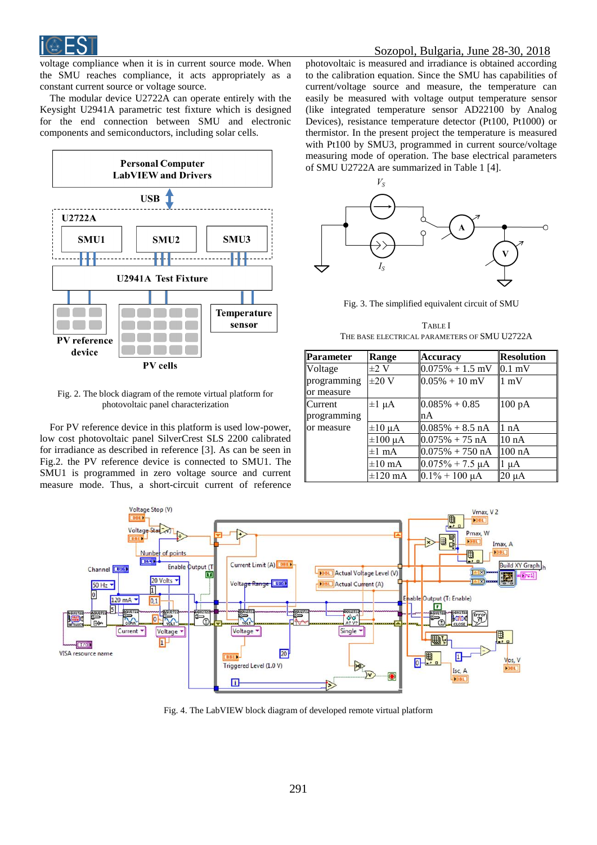

voltage compliance when it is in current source mode. When the SMU reaches compliance, it acts appropriately as a constant current source or voltage source.

The modular device U2722A can operate entirely with the Keysight U2941A parametric test fixture which is designed for the end connection between SMU and electronic components and semiconductors, including solar cells.



Fig. 2. The block diagram of the remote virtual platform for photovoltaic panel characterization

For PV reference device in this platform is used low-power, low cost photovoltaic panel SilverCrest SLS 2200 calibrated for irradiance as described in reference [3]. As can be seen in Fig.2. the PV reference device is connected to SMU1. The SMU1 is programmed in zero voltage source and current measure mode. Thus, a short-circuit current of reference

photovoltaic is measured and irradiance is obtained according to the calibration equation. Since the SMU has capabilities of current/voltage source and measure, the temperature can easily be measured with voltage output temperature sensor (like integrated temperature sensor AD22100 by Analog Devices), resistance temperature detector (Pt100, Pt1000) or thermistor. In the present project the temperature is measured with Pt100 by SMU3, programmed in current source/voltage measuring mode of operation. The base electrical parameters of SMU U2722A are summarized in Table 1 [4].



Fig. 3. The simplified equivalent circuit of SMU

TABLE I THE BASE ELECTRICAL PARAMETERS OF SMU U2722A

| Parameter   | Range           | <b>Accuracy</b>            | <b>Resolution</b> |
|-------------|-----------------|----------------------------|-------------------|
| Voltage     | $\pm 2$ V       | $0.075\% + 1.5$ mV         | $0.1 \text{ mV}$  |
| programming | $\pm 20$ V      | $0.05\% + 10$ mV           | $1 \text{ mV}$    |
| or measure  |                 |                            |                   |
| Current     | $\pm 1$ $\mu$ A | $0.085\% + 0.85$           | 100 pA            |
| programming |                 | nA                         |                   |
| or measure  | $\pm 10 \mu A$  | $0.085\% + 8.5 \text{ nA}$ | 1 nA              |
|             | $\pm 100 \mu A$ | $10.075\% + 75 \text{ nA}$ | 10 <sub>nA</sub>  |
|             | $\pm 1$ mA      | $0.075\% + 750 \text{ nA}$ | $100 \text{ nA}$  |
|             | $\pm 10$ mA     | $0.075% + 7.5 \mu A$       | $\mu A$           |
|             | $\pm 120$ mA    | $0.1\% + 100 \mu A$        | 20 µA             |



Fig. 4. The LabVIEW block diagram of developed remote virtual platform